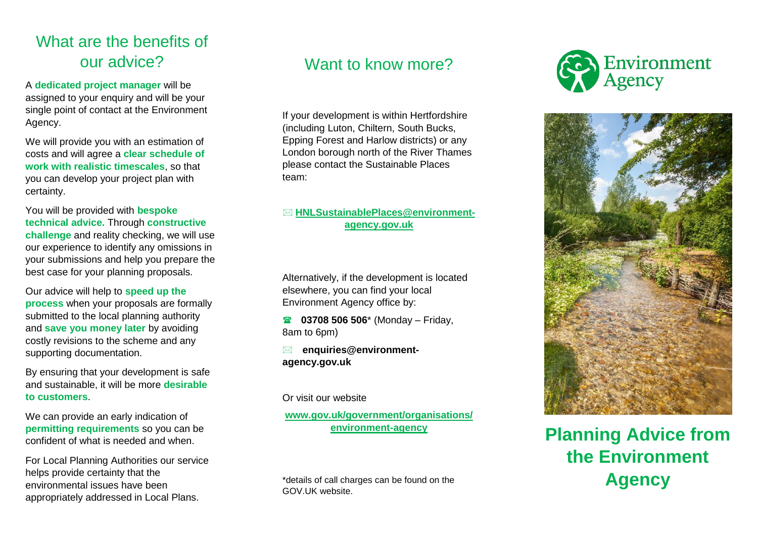## What are the benefits of our advice?

A **dedicated project manager** will be assigned to your enquiry and will be your single point of contact at the Environment Agency.

We will provide you with an estimation of costs and will agree a **clear schedule of work with realistic timescales**, so that you can develop your project plan with certainty.

You will be provided with **bespoke technical advice.** Through **constructive challenge** and reality checking, we will use our experience to identify any omissions in your submissions and help you prepare the best case for your planning proposals.

Our advice will help to **speed up the process** when your proposals are formally submitted to the local planning authority and **save you money later** by avoiding costly revisions to the scheme and any supporting documentation.

By ensuring that your development is safe and sustainable, it will be more **desirable to customers** .

We can provide an early indication of **permitting requirements** so you can be confident of what is needed and when.

For Local Planning Authorities our service helps provide certainty that the environmental issues have been appropriately addressed in Local Plans.

## Want to know more?

If your development is within Hertfordshire (including Luton, Chiltern, South Bucks, Epping Forest and Harlow districts) or any London borough north of the River Thames please contact the Sustainable Places team:

#### **[HNLSustainablePlaces@environment](mailto:HNLSustainablePlaces@environment-agency.gov.uk) [agency.gov.uk](mailto:HNLSustainablePlaces@environment-agency.gov.uk)**

Alternatively, if the development is located elsewhere, you can find your local Environment Agency office by:

**8 03708 506 506**<sup>\*</sup> (Monday – Friday, 8am to 6pm)

 **enquiries@environment agency.gov.uk**

Or visit our website

**[www.gov.uk/government/organisations/](http://www.gov.uk/government/organisations/environment-agency) [environment](http://www.gov.uk/government/organisations/environment-agency) -agency**

\*details of call charges can be found on the GOV.UK website.





**Planning Advice from the Environment Agency**